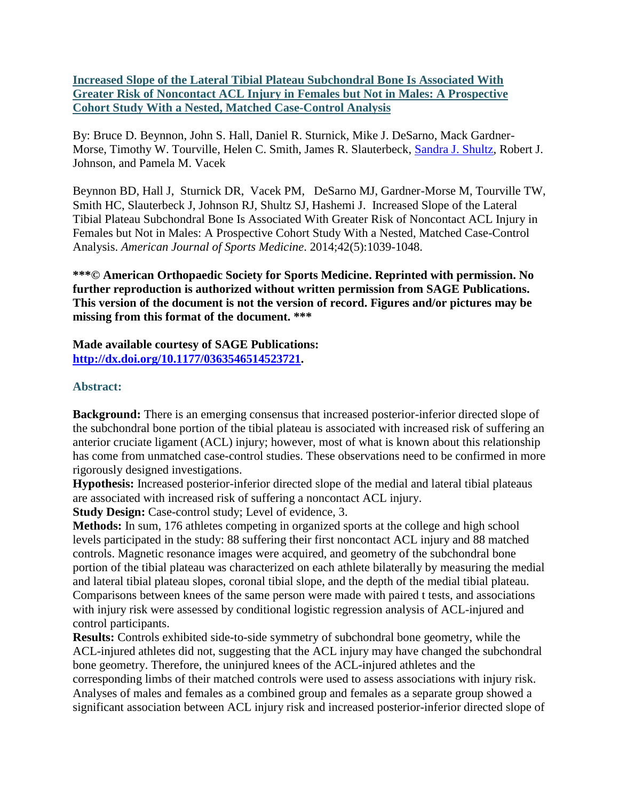**Increased Slope of the Lateral Tibial Plateau Subchondral Bone Is Associated With Greater Risk of Noncontact ACL Injury in Females but Not in Males: A Prospective Cohort Study With a Nested, Matched Case-Control Analysis**

By: Bruce D. Beynnon, John S. Hall, Daniel R. Sturnick, Mike J. DeSarno, Mack Gardner-Morse, Timothy W. Tourville, Helen C. Smith, James R. Slauterbeck, [Sandra J. Shultz,](https://libres.uncg.edu/ir/uncg/clist.aspx?id=2284) Robert J. Johnson, and Pamela M. Vacek

Beynnon BD, Hall J, Sturnick DR, Vacek PM, DeSarno MJ, Gardner-Morse M, Tourville TW, Smith HC, Slauterbeck J, Johnson RJ, Shultz SJ, Hashemi J. Increased Slope of the Lateral Tibial Plateau Subchondral Bone Is Associated With Greater Risk of Noncontact ACL Injury in Females but Not in Males: A Prospective Cohort Study With a Nested, Matched Case-Control Analysis. *American Journal of Sports Medicine*. 2014;42(5):1039-1048.

**\*\*\*© American Orthopaedic Society for Sports Medicine. Reprinted with permission. No further reproduction is authorized without written permission from SAGE Publications. This version of the document is not the version of record. Figures and/or pictures may be missing from this format of the document. \*\*\***

**Made available courtesy of SAGE Publications: [http://dx.doi.org/10.1177/0363546514523721.](http://dx.doi.org/10.1177/0363546514523721)**

### **Abstract:**

**Background:** There is an emerging consensus that increased posterior-inferior directed slope of the subchondral bone portion of the tibial plateau is associated with increased risk of suffering an anterior cruciate ligament (ACL) injury; however, most of what is known about this relationship has come from unmatched case-control studies. These observations need to be confirmed in more rigorously designed investigations.

**Hypothesis:** Increased posterior-inferior directed slope of the medial and lateral tibial plateaus are associated with increased risk of suffering a noncontact ACL injury.

**Study Design:** Case-control study; Level of evidence, 3.

**Methods:** In sum, 176 athletes competing in organized sports at the college and high school levels participated in the study: 88 suffering their first noncontact ACL injury and 88 matched controls. Magnetic resonance images were acquired, and geometry of the subchondral bone portion of the tibial plateau was characterized on each athlete bilaterally by measuring the medial and lateral tibial plateau slopes, coronal tibial slope, and the depth of the medial tibial plateau. Comparisons between knees of the same person were made with paired t tests, and associations with injury risk were assessed by conditional logistic regression analysis of ACL-injured and control participants.

**Results:** Controls exhibited side-to-side symmetry of subchondral bone geometry, while the ACL-injured athletes did not, suggesting that the ACL injury may have changed the subchondral bone geometry. Therefore, the uninjured knees of the ACL-injured athletes and the corresponding limbs of their matched controls were used to assess associations with injury risk. Analyses of males and females as a combined group and females as a separate group showed a significant association between ACL injury risk and increased posterior-inferior directed slope of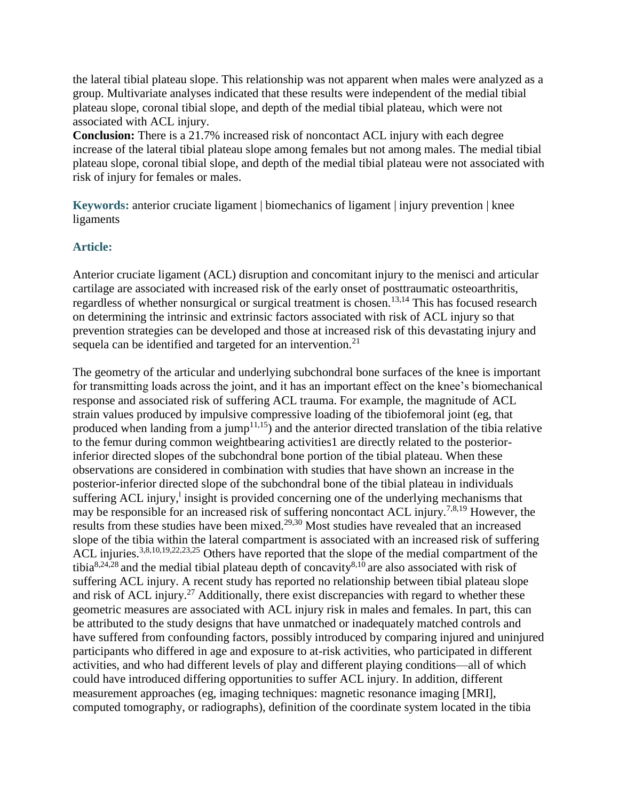the lateral tibial plateau slope. This relationship was not apparent when males were analyzed as a group. Multivariate analyses indicated that these results were independent of the medial tibial plateau slope, coronal tibial slope, and depth of the medial tibial plateau, which were not associated with ACL injury.

**Conclusion:** There is a 21.7% increased risk of noncontact ACL injury with each degree increase of the lateral tibial plateau slope among females but not among males. The medial tibial plateau slope, coronal tibial slope, and depth of the medial tibial plateau were not associated with risk of injury for females or males.

**Keywords:** anterior cruciate ligament | biomechanics of ligament | injury prevention | knee ligaments

### **Article:**

Anterior cruciate ligament (ACL) disruption and concomitant injury to the menisci and articular cartilage are associated with increased risk of the early onset of posttraumatic osteoarthritis, regardless of whether nonsurgical or surgical treatment is chosen.<sup>13,14</sup> This has focused research on determining the intrinsic and extrinsic factors associated with risk of ACL injury so that prevention strategies can be developed and those at increased risk of this devastating injury and sequela can be identified and targeted for an intervention.<sup>21</sup>

The geometry of the articular and underlying subchondral bone surfaces of the knee is important for transmitting loads across the joint, and it has an important effect on the knee's biomechanical response and associated risk of suffering ACL trauma. For example, the magnitude of ACL strain values produced by impulsive compressive loading of the tibiofemoral joint (eg, that produced when landing from a jump<sup>11,15</sup>) and the anterior directed translation of the tibia relative to the femur during common weightbearing activities1 are directly related to the posteriorinferior directed slopes of the subchondral bone portion of the tibial plateau. When these observations are considered in combination with studies that have shown an increase in the posterior-inferior directed slope of the subchondral bone of the tibial plateau in individuals suffering ACL injury,<sup>1</sup> insight is provided concerning one of the underlying mechanisms that may be responsible for an increased risk of suffering noncontact ACL injury.<sup>7,8,19</sup> However, the results from these studies have been mixed.29,30 Most studies have revealed that an increased slope of the tibia within the lateral compartment is associated with an increased risk of suffering ACL injuries.3,8,10,19,22,23,25 Others have reported that the slope of the medial compartment of the tibia<sup>8,24,28</sup> and the medial tibial plateau depth of concavity<sup>8,10</sup> are also associated with risk of suffering ACL injury. A recent study has reported no relationship between tibial plateau slope and risk of ACL injury.<sup>27</sup> Additionally, there exist discrepancies with regard to whether these geometric measures are associated with ACL injury risk in males and females. In part, this can be attributed to the study designs that have unmatched or inadequately matched controls and have suffered from confounding factors, possibly introduced by comparing injured and uninjured participants who differed in age and exposure to at-risk activities, who participated in different activities, and who had different levels of play and different playing conditions—all of which could have introduced differing opportunities to suffer ACL injury. In addition, different measurement approaches (eg, imaging techniques: magnetic resonance imaging [MRI], computed tomography, or radiographs), definition of the coordinate system located in the tibia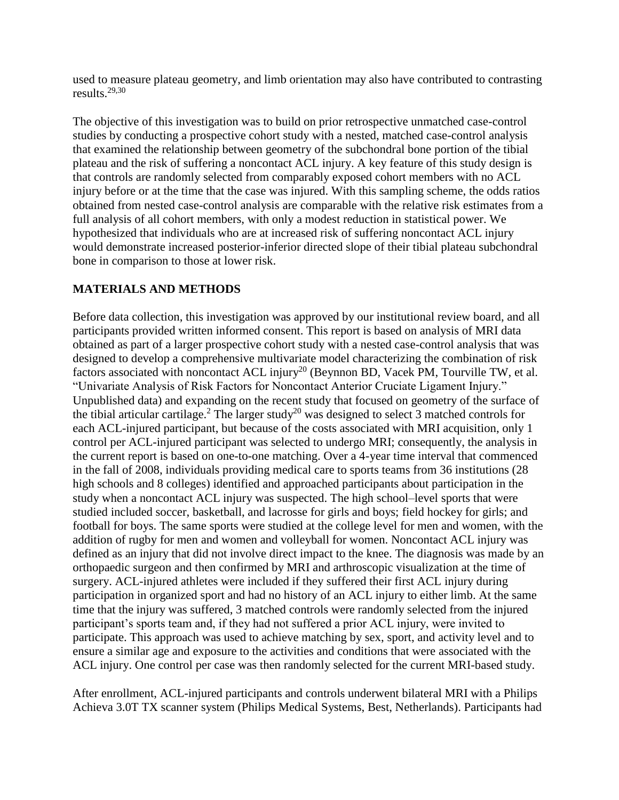used to measure plateau geometry, and limb orientation may also have contributed to contrasting results.29,30

The objective of this investigation was to build on prior retrospective unmatched case-control studies by conducting a prospective cohort study with a nested, matched case-control analysis that examined the relationship between geometry of the subchondral bone portion of the tibial plateau and the risk of suffering a noncontact ACL injury. A key feature of this study design is that controls are randomly selected from comparably exposed cohort members with no ACL injury before or at the time that the case was injured. With this sampling scheme, the odds ratios obtained from nested case-control analysis are comparable with the relative risk estimates from a full analysis of all cohort members, with only a modest reduction in statistical power. We hypothesized that individuals who are at increased risk of suffering noncontact ACL injury would demonstrate increased posterior-inferior directed slope of their tibial plateau subchondral bone in comparison to those at lower risk.

# **MATERIALS AND METHODS**

Before data collection, this investigation was approved by our institutional review board, and all participants provided written informed consent. This report is based on analysis of MRI data obtained as part of a larger prospective cohort study with a nested case-control analysis that was designed to develop a comprehensive multivariate model characterizing the combination of risk factors associated with noncontact ACL injury<sup>20</sup> (Beynnon BD, Vacek PM, Tourville TW, et al. "Univariate Analysis of Risk Factors for Noncontact Anterior Cruciate Ligament Injury." Unpublished data) and expanding on the recent study that focused on geometry of the surface of the tibial articular cartilage.<sup>2</sup> The larger study<sup>20</sup> was designed to select 3 matched controls for each ACL-injured participant, but because of the costs associated with MRI acquisition, only 1 control per ACL-injured participant was selected to undergo MRI; consequently, the analysis in the current report is based on one-to-one matching. Over a 4-year time interval that commenced in the fall of 2008, individuals providing medical care to sports teams from 36 institutions (28 high schools and 8 colleges) identified and approached participants about participation in the study when a noncontact ACL injury was suspected. The high school–level sports that were studied included soccer, basketball, and lacrosse for girls and boys; field hockey for girls; and football for boys. The same sports were studied at the college level for men and women, with the addition of rugby for men and women and volleyball for women. Noncontact ACL injury was defined as an injury that did not involve direct impact to the knee. The diagnosis was made by an orthopaedic surgeon and then confirmed by MRI and arthroscopic visualization at the time of surgery. ACL-injured athletes were included if they suffered their first ACL injury during participation in organized sport and had no history of an ACL injury to either limb. At the same time that the injury was suffered, 3 matched controls were randomly selected from the injured participant's sports team and, if they had not suffered a prior ACL injury, were invited to participate. This approach was used to achieve matching by sex, sport, and activity level and to ensure a similar age and exposure to the activities and conditions that were associated with the ACL injury. One control per case was then randomly selected for the current MRI-based study.

After enrollment, ACL-injured participants and controls underwent bilateral MRI with a Philips Achieva 3.0T TX scanner system (Philips Medical Systems, Best, Netherlands). Participants had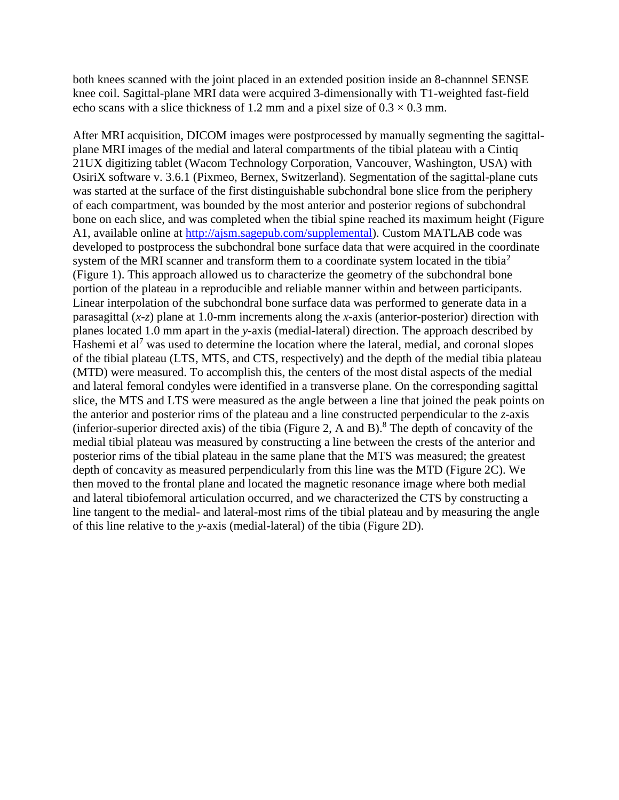both knees scanned with the joint placed in an extended position inside an 8-channnel SENSE knee coil. Sagittal-plane MRI data were acquired 3-dimensionally with T1-weighted fast-field echo scans with a slice thickness of 1.2 mm and a pixel size of  $0.3 \times 0.3$  mm.

After MRI acquisition, DICOM images were postprocessed by manually segmenting the sagittalplane MRI images of the medial and lateral compartments of the tibial plateau with a Cintiq 21UX digitizing tablet (Wacom Technology Corporation, Vancouver, Washington, USA) with OsiriX software v. 3.6.1 (Pixmeo, Bernex, Switzerland). Segmentation of the sagittal-plane cuts was started at the surface of the first distinguishable subchondral bone slice from the periphery of each compartment, was bounded by the most anterior and posterior regions of subchondral bone on each slice, and was completed when the tibial spine reached its maximum height (Figure A1, available online at [http://ajsm.sagepub.com/supplemental\)](http://ajsm.sagepub.com/supplemental). Custom MATLAB code was developed to postprocess the subchondral bone surface data that were acquired in the coordinate system of the MRI scanner and transform them to a coordinate system located in the tibia<sup>2</sup> (Figure 1). This approach allowed us to characterize the geometry of the subchondral bone portion of the plateau in a reproducible and reliable manner within and between participants. Linear interpolation of the subchondral bone surface data was performed to generate data in a parasagittal (*x-z*) plane at 1.0-mm increments along the *x*-axis (anterior-posterior) direction with planes located 1.0 mm apart in the *y*-axis (medial-lateral) direction. The approach described by Hashemi et al<sup>7</sup> was used to determine the location where the lateral, medial, and coronal slopes of the tibial plateau (LTS, MTS, and CTS, respectively) and the depth of the medial tibia plateau (MTD) were measured. To accomplish this, the centers of the most distal aspects of the medial and lateral femoral condyles were identified in a transverse plane. On the corresponding sagittal slice, the MTS and LTS were measured as the angle between a line that joined the peak points on the anterior and posterior rims of the plateau and a line constructed perpendicular to the *z*-axis (inferior-superior directed axis) of the tibia (Figure 2, A and B).<sup>8</sup> The depth of concavity of the medial tibial plateau was measured by constructing a line between the crests of the anterior and posterior rims of the tibial plateau in the same plane that the MTS was measured; the greatest depth of concavity as measured perpendicularly from this line was the MTD (Figure 2C). We then moved to the frontal plane and located the magnetic resonance image where both medial and lateral tibiofemoral articulation occurred, and we characterized the CTS by constructing a line tangent to the medial- and lateral-most rims of the tibial plateau and by measuring the angle of this line relative to the *y*-axis (medial-lateral) of the tibia (Figure 2D).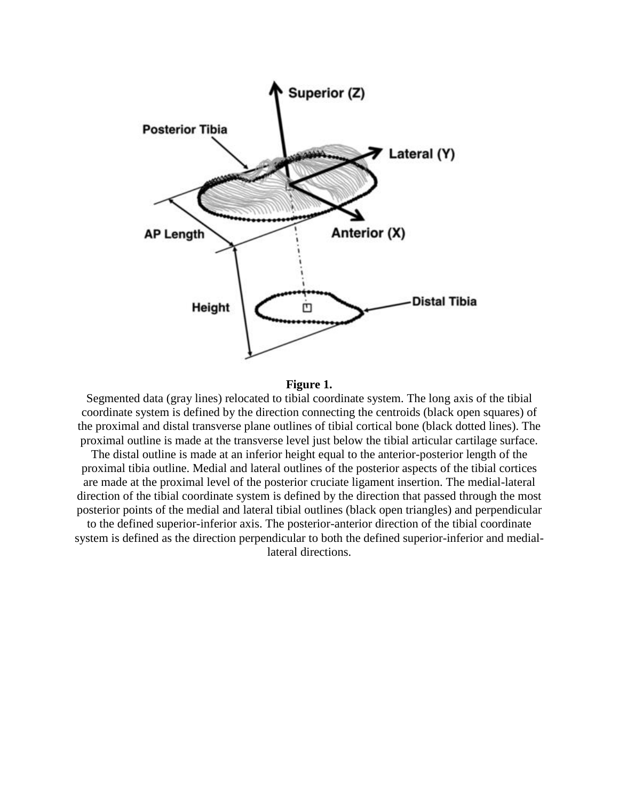



Segmented data (gray lines) relocated to tibial coordinate system. The long axis of the tibial coordinate system is defined by the direction connecting the centroids (black open squares) of the proximal and distal transverse plane outlines of tibial cortical bone (black dotted lines). The proximal outline is made at the transverse level just below the tibial articular cartilage surface.

The distal outline is made at an inferior height equal to the anterior-posterior length of the proximal tibia outline. Medial and lateral outlines of the posterior aspects of the tibial cortices are made at the proximal level of the posterior cruciate ligament insertion. The medial-lateral direction of the tibial coordinate system is defined by the direction that passed through the most posterior points of the medial and lateral tibial outlines (black open triangles) and perpendicular to the defined superior-inferior axis. The posterior-anterior direction of the tibial coordinate system is defined as the direction perpendicular to both the defined superior-inferior and mediallateral directions.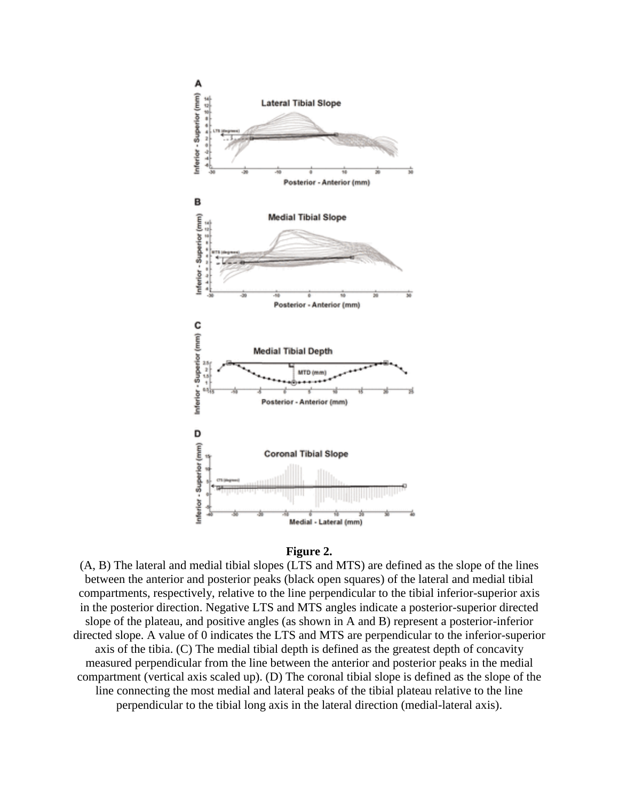

#### **Figure 2.**

(A, B) The lateral and medial tibial slopes (LTS and MTS) are defined as the slope of the lines between the anterior and posterior peaks (black open squares) of the lateral and medial tibial compartments, respectively, relative to the line perpendicular to the tibial inferior-superior axis in the posterior direction. Negative LTS and MTS angles indicate a posterior-superior directed slope of the plateau, and positive angles (as shown in A and B) represent a posterior-inferior directed slope. A value of 0 indicates the LTS and MTS are perpendicular to the inferior-superior axis of the tibia. (C) The medial tibial depth is defined as the greatest depth of concavity measured perpendicular from the line between the anterior and posterior peaks in the medial compartment (vertical axis scaled up). (D) The coronal tibial slope is defined as the slope of the line connecting the most medial and lateral peaks of the tibial plateau relative to the line perpendicular to the tibial long axis in the lateral direction (medial-lateral axis).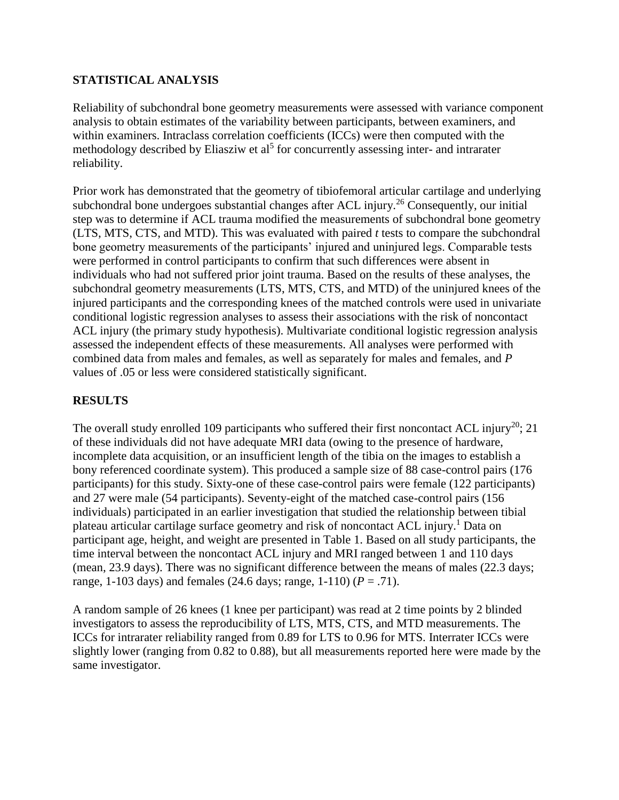# **STATISTICAL ANALYSIS**

Reliability of subchondral bone geometry measurements were assessed with variance component analysis to obtain estimates of the variability between participants, between examiners, and within examiners. Intraclass correlation coefficients (ICCs) were then computed with the methodology described by Eliasziw et al<sup>5</sup> for concurrently assessing inter- and intrarater reliability.

Prior work has demonstrated that the geometry of tibiofemoral articular cartilage and underlying subchondral bone undergoes substantial changes after ACL injury.<sup>26</sup> Consequently, our initial step was to determine if ACL trauma modified the measurements of subchondral bone geometry (LTS, MTS, CTS, and MTD). This was evaluated with paired *t* tests to compare the subchondral bone geometry measurements of the participants' injured and uninjured legs. Comparable tests were performed in control participants to confirm that such differences were absent in individuals who had not suffered prior joint trauma. Based on the results of these analyses, the subchondral geometry measurements (LTS, MTS, CTS, and MTD) of the uninjured knees of the injured participants and the corresponding knees of the matched controls were used in univariate conditional logistic regression analyses to assess their associations with the risk of noncontact ACL injury (the primary study hypothesis). Multivariate conditional logistic regression analysis assessed the independent effects of these measurements. All analyses were performed with combined data from males and females, as well as separately for males and females, and *P* values of .05 or less were considered statistically significant.

# **RESULTS**

The overall study enrolled 109 participants who suffered their first noncontact ACL injury<sup>20</sup>; 21 of these individuals did not have adequate MRI data (owing to the presence of hardware, incomplete data acquisition, or an insufficient length of the tibia on the images to establish a bony referenced coordinate system). This produced a sample size of 88 case-control pairs (176 participants) for this study. Sixty-one of these case-control pairs were female (122 participants) and 27 were male (54 participants). Seventy-eight of the matched case-control pairs (156 individuals) participated in an earlier investigation that studied the relationship between tibial plateau articular cartilage surface geometry and risk of noncontact ACL injury.<sup>1</sup> Data on participant age, height, and weight are presented in Table 1. Based on all study participants, the time interval between the noncontact ACL injury and MRI ranged between 1 and 110 days (mean, 23.9 days). There was no significant difference between the means of males (22.3 days; range, 1-103 days) and females (24.6 days; range, 1-110) (*P* = .71).

A random sample of 26 knees (1 knee per participant) was read at 2 time points by 2 blinded investigators to assess the reproducibility of LTS, MTS, CTS, and MTD measurements. The ICCs for intrarater reliability ranged from 0.89 for LTS to 0.96 for MTS. Interrater ICCs were slightly lower (ranging from 0.82 to 0.88), but all measurements reported here were made by the same investigator.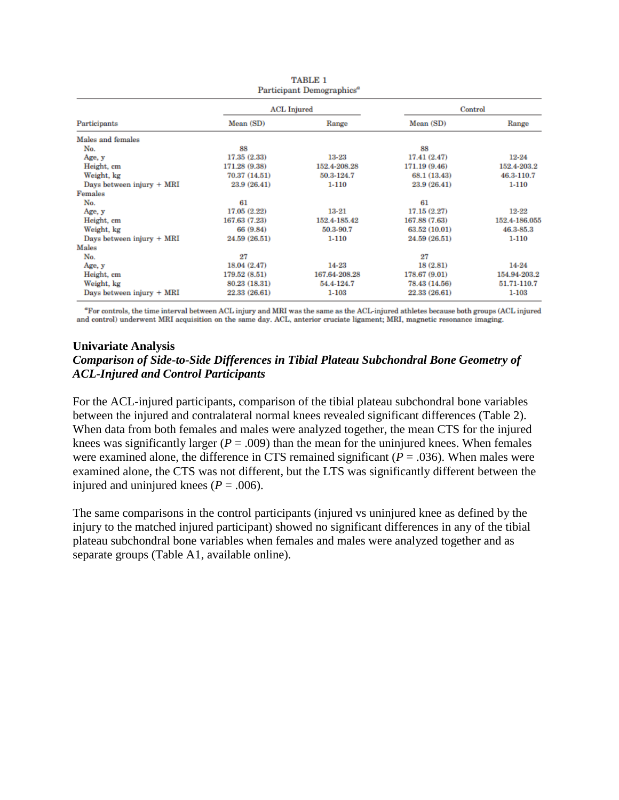|                           | <b>ACL</b> Injured |               | Control       |               |
|---------------------------|--------------------|---------------|---------------|---------------|
| Participants              | Mean (SD)          | Range         | Mean (SD)     | Range         |
| Males and females         |                    |               |               |               |
| No.                       | 88                 |               | 88            |               |
| Age, y                    | 17.35 (2.33)       | 13-23         | 17.41 (2.47)  | 12-24         |
| Height, cm                | 171.28 (9.38)      | 152.4-208.28  | 171.19 (9.46) | 152.4-203.2   |
| Weight, kg                | 70.37 (14.51)      | 50.3-124.7    | 68.1 (13.43)  | 46.3-110.7    |
| Days between injury + MRI | 23.9 (26.41)       | $1 - 110$     | 23.9 (26.41)  | $1 - 110$     |
| Females                   |                    |               |               |               |
| No.                       | 61                 |               | 61            |               |
| Age, y                    | 17.05 (2.22)       | $13 - 21$     | 17.15 (2.27)  | 12-22         |
| Height, cm                | 167.63 (7.23)      | 152.4-185.42  | 167.88 (7.63) | 152.4-186.055 |
| Weight, kg                | 66 (9.84)          | 50.3-90.7     | 63.52 (10.01) | 46.3-85.3     |
| Days between injury + MRI | 24.59 (26.51)      | $1 - 110$     | 24.59 (26.51) | $1-110$       |
| Males                     |                    |               |               |               |
| No.                       | 27                 |               | 27            |               |
| Age, y                    | 18.04 (2.47)       | 14-23         | 18(2.81)      | 14-24         |
| Height, cm                | 179.52 (8.51)      | 167.64-208.28 | 178.67 (9.01) | 154.94-203.2  |
| Weight, kg                | 80.23 (18.31)      | 54.4-124.7    | 78.43 (14.56) | 51.71-110.7   |
| Days between injury + MRI | 22.33 (26.61)      | $1 - 103$     | 22.33 (26.61) | $1 - 103$     |

**TABLE 1** Participant Demographics<sup>a</sup>

"For controls, the time interval between ACL injury and MRI was the same as the ACL-injured athletes because both groups (ACL injured and control) underwent MRI acquisition on the same day. ACL, anterior cruciate ligament; MRI, magnetic resonance imaging.

#### **Univariate Analysis**

### *Comparison of Side-to-Side Differences in Tibial Plateau Subchondral Bone Geometry of ACL-Injured and Control Participants*

For the ACL-injured participants, comparison of the tibial plateau subchondral bone variables between the injured and contralateral normal knees revealed significant differences (Table 2). When data from both females and males were analyzed together, the mean CTS for the injured knees was significantly larger ( $P = .009$ ) than the mean for the uninjured knees. When females were examined alone, the difference in CTS remained significant  $(P = .036)$ . When males were examined alone, the CTS was not different, but the LTS was significantly different between the injured and uninjured knees  $(P = .006)$ .

The same comparisons in the control participants (injured vs uninjured knee as defined by the injury to the matched injured participant) showed no significant differences in any of the tibial plateau subchondral bone variables when females and males were analyzed together and as separate groups (Table A1, available online).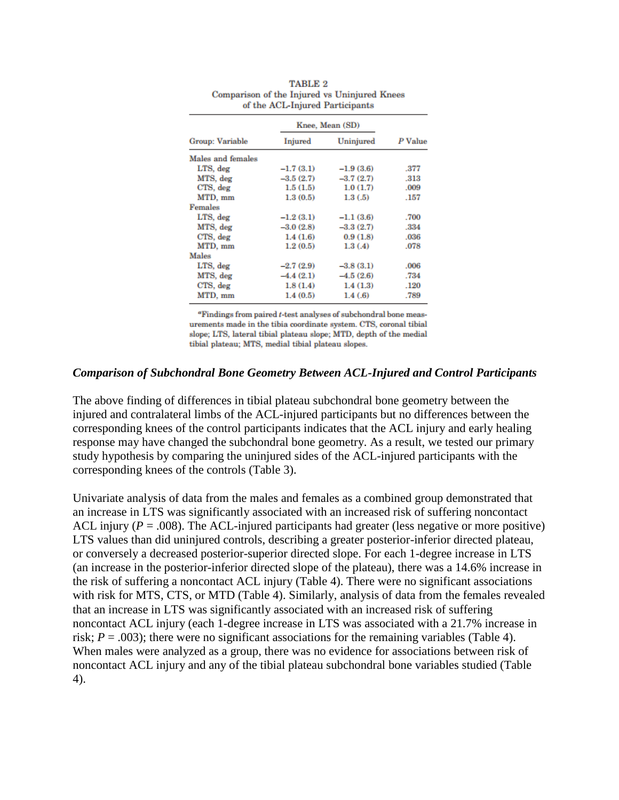|                   | Knee, Mean (SD) |             |         |  |
|-------------------|-----------------|-------------|---------|--|
| Group: Variable   | Injured         | Uninjured   | P Value |  |
| Males and females |                 |             |         |  |
| LTS, deg          | $-1.7(3.1)$     | $-1.9(3.6)$ | .377    |  |
| MTS, deg          | $-3.5(2.7)$     | $-3.7(2.7)$ | .313    |  |
| CTS, deg          | 1.5(1.5)        | 1.0(1.7)    | .009    |  |
| MTD, mm           | 1.3(0.5)        | 1.3(.5)     | .157    |  |
| <b>Females</b>    |                 |             |         |  |
| LTS, deg          | $-1.2(3.1)$     | $-1.1(3.6)$ | .700    |  |
| MTS, deg          | $-3.0(2.8)$     | $-3.3(2.7)$ | .334    |  |
| CTS, deg          | 1.4(1.6)        | 0.9(1.8)    | .036    |  |
| MTD, mm           | 1.2(0.5)        | 1.3(4)      | .078    |  |
| <b>Males</b>      |                 |             |         |  |
| LTS, deg          | $-2.7(2.9)$     | $-3.8(3.1)$ | .006    |  |
| MTS, deg          | $-4.4(2.1)$     | $-4.5(2.6)$ | .734    |  |
| CTS, deg          | 1.8(1.4)        | 1.4(1.3)    | .120    |  |
| MTD, mm           | 1.4(0.5)        | 1.4(0.6)    | .789    |  |

| TABLE 2                                      |  |
|----------------------------------------------|--|
| Comparison of the Injured vs Uninjured Knees |  |
| of the ACL-Injured Participants              |  |

"Findings from paired t-test analyses of subchondral bone measurements made in the tibia coordinate system. CTS, coronal tibial slope; LTS, lateral tibial plateau slope; MTD, depth of the medial tibial plateau; MTS, medial tibial plateau slopes.

#### *Comparison of Subchondral Bone Geometry Between ACL-Injured and Control Participants*

The above finding of differences in tibial plateau subchondral bone geometry between the injured and contralateral limbs of the ACL-injured participants but no differences between the corresponding knees of the control participants indicates that the ACL injury and early healing response may have changed the subchondral bone geometry. As a result, we tested our primary study hypothesis by comparing the uninjured sides of the ACL-injured participants with the corresponding knees of the controls (Table 3).

Univariate analysis of data from the males and females as a combined group demonstrated that an increase in LTS was significantly associated with an increased risk of suffering noncontact ACL injury ( $P = .008$ ). The ACL-injured participants had greater (less negative or more positive) LTS values than did uninjured controls, describing a greater posterior-inferior directed plateau, or conversely a decreased posterior-superior directed slope. For each 1-degree increase in LTS (an increase in the posterior-inferior directed slope of the plateau), there was a 14.6% increase in the risk of suffering a noncontact ACL injury (Table 4). There were no significant associations with risk for MTS, CTS, or MTD (Table 4). Similarly, analysis of data from the females revealed that an increase in LTS was significantly associated with an increased risk of suffering noncontact ACL injury (each 1-degree increase in LTS was associated with a 21.7% increase in risk;  $P = .003$ ); there were no significant associations for the remaining variables (Table 4). When males were analyzed as a group, there was no evidence for associations between risk of noncontact ACL injury and any of the tibial plateau subchondral bone variables studied (Table 4).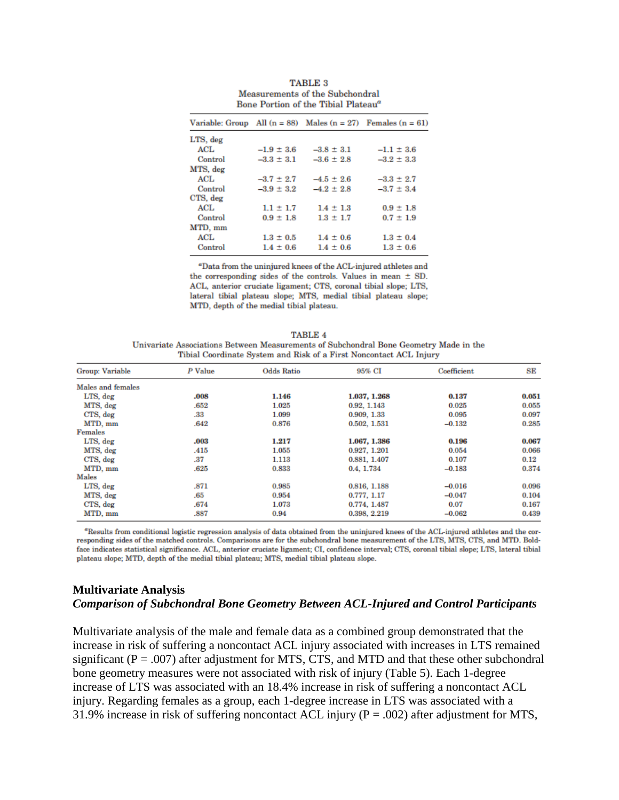|          |                |                | Variable: Group All $(n = 88)$ Males $(n = 27)$ Females $(n = 61)$ |
|----------|----------------|----------------|--------------------------------------------------------------------|
| LTS, deg |                |                |                                                                    |
| ACL.     | $-1.9 \pm 3.6$ | $-3.8 \pm 3.1$ | $-1.1 \pm 3.6$                                                     |
| Control  | $-3.3 \pm 3.1$ | $-3.6 \pm 2.8$ | $-3.2 \pm 3.3$                                                     |
| MTS, deg |                |                |                                                                    |
| ACL.     | $-3.7 \pm 2.7$ | $-4.5 \pm 2.6$ | $-3.3 \pm 2.7$                                                     |
| Control  | $-3.9 \pm 3.2$ | $-4.2 \pm 2.8$ | $-3.7 \pm 3.4$                                                     |
| CTS, deg |                |                |                                                                    |
| ACL      | $1.1 \pm 1.7$  | $1.4 \pm 1.3$  | $0.9 \pm 1.8$                                                      |
| Control  | $0.9 \pm 1.8$  | $1.3 \pm 1.7$  | $0.7 \pm 1.9$                                                      |
| MTD, mm  |                |                |                                                                    |
| ACL.     | $1.3 \pm 0.5$  | $1.4 \pm 0.6$  | $1.3 \pm 0.4$                                                      |
| Control  | $1.4 \pm 0.6$  | $1.4 \pm 0.6$  | $1.3 \pm 0.6$                                                      |
|          |                |                |                                                                    |

| <b>TABLE 3</b>                                  |  |  |  |  |  |
|-------------------------------------------------|--|--|--|--|--|
| Measurements of the Subchondral                 |  |  |  |  |  |
| Bone Portion of the Tibial Plateau <sup>a</sup> |  |  |  |  |  |

"Data from the uninjured knees of the ACL-injured athletes and the corresponding sides of the controls. Values in mean  $\pm$  SD. ACL, anterior cruciate ligament; CTS, coronal tibial slope; LTS, lateral tibial plateau slope; MTS, medial tibial plateau slope; MTD, depth of the medial tibial plateau.

**TABLE 4** Univariate Associations Between Measurements of Subchondral Bone Geometry Made in the Tibial Coordinate System and Risk of a First Noncontact ACL Injury

| Group: Variable   | P Value | <b>Odds Ratio</b> | 95% CI       | Coefficient | SE    |
|-------------------|---------|-------------------|--------------|-------------|-------|
| Males and females |         |                   |              |             |       |
| LTS, deg          | .008    | 1.146             | 1.037, 1.268 | 0.137       | 0.051 |
| MTS, deg          | .652    | 1.025             | 0.92, 1.143  | 0.025       | 0.055 |
| CTS, deg          | .33     | 1.099             | 0.909, 1.33  | 0.095       | 0.097 |
| MTD, mm           | .642    | 0.876             | 0.502, 1.531 | $-0.132$    | 0.285 |
| Females           |         |                   |              |             |       |
| LTS, deg          | .003    | 1.217             | 1.067, 1.386 | 0.196       | 0.067 |
| MTS, deg          | .415    | 1.055             | 0.927, 1.201 | 0.054       | 0.066 |
| CTS, deg          | .37     | 1.113             | 0.881, 1.407 | 0.107       | 0.12  |
| MTD, mm           | .625    | 0.833             | 0.4, 1.734   | $-0.183$    | 0.374 |
| Males             |         |                   |              |             |       |
| LTS, deg          | .871    | 0.985             | 0.816, 1.188 | $-0.016$    | 0.096 |
| MTS, deg          | .65     | 0.954             | 0.777, 1.17  | $-0.047$    | 0.104 |
| CTS, deg          | .674    | 1.073             | 0.774, 1.487 | 0.07        | 0.167 |
| MTD, mm           | .887    | 0.94              | 0.398, 2.219 | $-0.062$    | 0.439 |

"Results from conditional logistic regression analysis of data obtained from the uninjured knees of the ACL-injured athletes and the corresponding sides of the matched controls. Comparisons are for the subchondral bone measurement of the LTS, MTS, CTS, and MTD. Boldface indicates statistical significance. ACL, anterior cruciate ligament; CI, confidence interval; CTS, coronal tibial slope; LTS, lateral tibial plateau slope; MTD, depth of the medial tibial plateau; MTS, medial tibial plateau slope.

#### **Multivariate Analysis** *Comparison of Subchondral Bone Geometry Between ACL-Injured and Control Participants*

Multivariate analysis of the male and female data as a combined group demonstrated that the increase in risk of suffering a noncontact ACL injury associated with increases in LTS remained significant ( $P = .007$ ) after adjustment for MTS, CTS, and MTD and that these other subchondral bone geometry measures were not associated with risk of injury (Table 5). Each 1-degree increase of LTS was associated with an 18.4% increase in risk of suffering a noncontact ACL injury. Regarding females as a group, each 1-degree increase in LTS was associated with a 31.9% increase in risk of suffering noncontact ACL injury ( $P = .002$ ) after adjustment for MTS,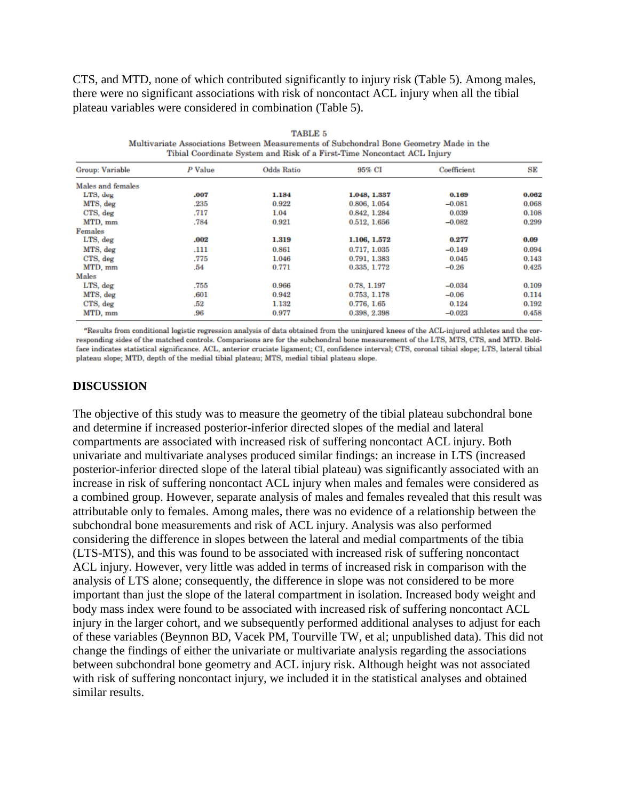CTS, and MTD, none of which contributed significantly to injury risk (Table 5). Among males, there were no significant associations with risk of noncontact ACL injury when all the tibial plateau variables were considered in combination (Table 5).

| Group: Variable   | P Value | <b>Odds Ratio</b> | 95% CI       | Coefficient | SE    |
|-------------------|---------|-------------------|--------------|-------------|-------|
| Males and females |         |                   |              |             |       |
| LTS, deg          | .007    | 1.184             | 1.048, 1.337 | 0.169       | 0.062 |
| MTS, deg          | .235    | 0.922             | 0.806, 1.054 | $-0.081$    | 0.068 |
| CTS, deg          | .717    | 1.04              | 0.842, 1.284 | 0.039       | 0.108 |
| MTD, mm           | .784    | 0.921             | 0.512, 1.656 | $-0.082$    | 0.299 |
| Females           |         |                   |              |             |       |
| LTS, deg          | .002    | 1.319             | 1.106, 1.572 | 0.277       | 0.09  |
| MTS, deg          | .111    | 0.861             | 0.717, 1.035 | $-0.149$    | 0.094 |
| CTS, deg          | .775    | 1.046             | 0.791, 1.383 | 0.045       | 0.143 |
| MTD, mm           | .54     | 0.771             | 0.335, 1.772 | $-0.26$     | 0.425 |
| Males             |         |                   |              |             |       |
| LTS, deg          | .755    | 0.966             | 0.78, 1.197  | $-0.034$    | 0.109 |
| MTS, deg          | .601    | 0.942             | 0.753, 1.178 | $-0.06$     | 0.114 |
| CTS, deg          | .52     | 1.132             | 0.776, 1.65  | 0.124       | 0.192 |
| MTD, mm           | .96     | 0.977             | 0.398, 2.398 | $-0.023$    | 0.458 |

**TABLE 5** Multivariate Associations Between Measurements of Subchondral Bone Geometry Made in the  $m$ <sub>1</sub>  $m$ <sub>2</sub> udinata Creek am and Rick of a First-Time No.

"Results from conditional logistic regression analysis of data obtained from the uninjured knees of the ACL-injured athletes and the corresponding sides of the matched controls. Comparisons are for the subchondral bone measurement of the LTS, MTS, CTS, and MTD. Boldface indicates statistical significance. ACL, anterior cruciate ligament; CI, confidence interval; CTS, coronal tibial slope; LTS, lateral tibial plateau slope; MTD, depth of the medial tibial plateau; MTS, medial tibial plateau slope.

### **DISCUSSION**

The objective of this study was to measure the geometry of the tibial plateau subchondral bone and determine if increased posterior-inferior directed slopes of the medial and lateral compartments are associated with increased risk of suffering noncontact ACL injury. Both univariate and multivariate analyses produced similar findings: an increase in LTS (increased posterior-inferior directed slope of the lateral tibial plateau) was significantly associated with an increase in risk of suffering noncontact ACL injury when males and females were considered as a combined group. However, separate analysis of males and females revealed that this result was attributable only to females. Among males, there was no evidence of a relationship between the subchondral bone measurements and risk of ACL injury. Analysis was also performed considering the difference in slopes between the lateral and medial compartments of the tibia (LTS-MTS), and this was found to be associated with increased risk of suffering noncontact ACL injury. However, very little was added in terms of increased risk in comparison with the analysis of LTS alone; consequently, the difference in slope was not considered to be more important than just the slope of the lateral compartment in isolation. Increased body weight and body mass index were found to be associated with increased risk of suffering noncontact ACL injury in the larger cohort, and we subsequently performed additional analyses to adjust for each of these variables (Beynnon BD, Vacek PM, Tourville TW, et al; unpublished data). This did not change the findings of either the univariate or multivariate analysis regarding the associations between subchondral bone geometry and ACL injury risk. Although height was not associated with risk of suffering noncontact injury, we included it in the statistical analyses and obtained similar results.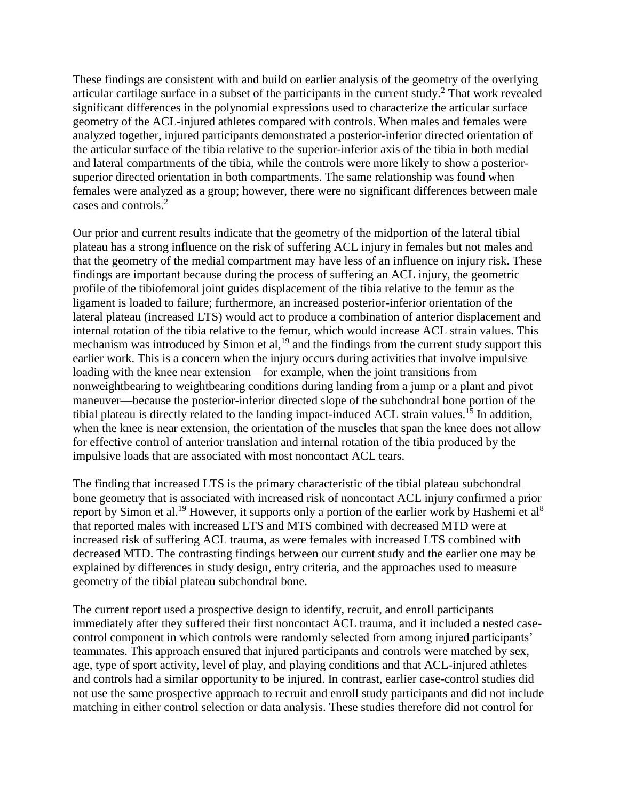These findings are consistent with and build on earlier analysis of the geometry of the overlying articular cartilage surface in a subset of the participants in the current study.<sup>2</sup> That work revealed significant differences in the polynomial expressions used to characterize the articular surface geometry of the ACL-injured athletes compared with controls. When males and females were analyzed together, injured participants demonstrated a posterior-inferior directed orientation of the articular surface of the tibia relative to the superior-inferior axis of the tibia in both medial and lateral compartments of the tibia, while the controls were more likely to show a posteriorsuperior directed orientation in both compartments. The same relationship was found when females were analyzed as a group; however, there were no significant differences between male cases and controls.<sup>2</sup>

Our prior and current results indicate that the geometry of the midportion of the lateral tibial plateau has a strong influence on the risk of suffering ACL injury in females but not males and that the geometry of the medial compartment may have less of an influence on injury risk. These findings are important because during the process of suffering an ACL injury, the geometric profile of the tibiofemoral joint guides displacement of the tibia relative to the femur as the ligament is loaded to failure; furthermore, an increased posterior-inferior orientation of the lateral plateau (increased LTS) would act to produce a combination of anterior displacement and internal rotation of the tibia relative to the femur, which would increase ACL strain values. This mechanism was introduced by Simon et al,  $19$  and the findings from the current study support this earlier work. This is a concern when the injury occurs during activities that involve impulsive loading with the knee near extension—for example, when the joint transitions from nonweightbearing to weightbearing conditions during landing from a jump or a plant and pivot maneuver—because the posterior-inferior directed slope of the subchondral bone portion of the tibial plateau is directly related to the landing impact-induced ACL strain values.<sup>15</sup> In addition, when the knee is near extension, the orientation of the muscles that span the knee does not allow for effective control of anterior translation and internal rotation of the tibia produced by the impulsive loads that are associated with most noncontact ACL tears.

The finding that increased LTS is the primary characteristic of the tibial plateau subchondral bone geometry that is associated with increased risk of noncontact ACL injury confirmed a prior report by Simon et al.<sup>19</sup> However, it supports only a portion of the earlier work by Hashemi et al<sup>8</sup> that reported males with increased LTS and MTS combined with decreased MTD were at increased risk of suffering ACL trauma, as were females with increased LTS combined with decreased MTD. The contrasting findings between our current study and the earlier one may be explained by differences in study design, entry criteria, and the approaches used to measure geometry of the tibial plateau subchondral bone.

The current report used a prospective design to identify, recruit, and enroll participants immediately after they suffered their first noncontact ACL trauma, and it included a nested casecontrol component in which controls were randomly selected from among injured participants' teammates. This approach ensured that injured participants and controls were matched by sex, age, type of sport activity, level of play, and playing conditions and that ACL-injured athletes and controls had a similar opportunity to be injured. In contrast, earlier case-control studies did not use the same prospective approach to recruit and enroll study participants and did not include matching in either control selection or data analysis. These studies therefore did not control for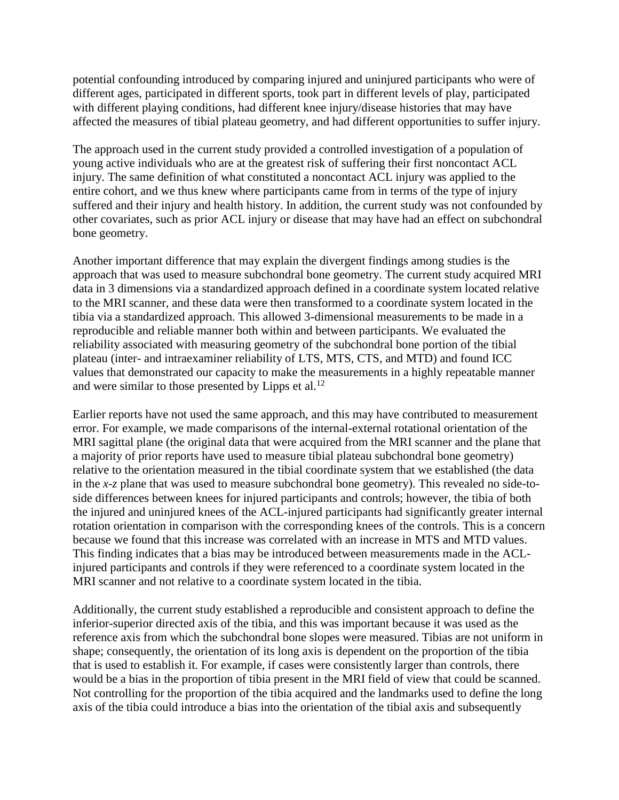potential confounding introduced by comparing injured and uninjured participants who were of different ages, participated in different sports, took part in different levels of play, participated with different playing conditions, had different knee injury/disease histories that may have affected the measures of tibial plateau geometry, and had different opportunities to suffer injury.

The approach used in the current study provided a controlled investigation of a population of young active individuals who are at the greatest risk of suffering their first noncontact ACL injury. The same definition of what constituted a noncontact ACL injury was applied to the entire cohort, and we thus knew where participants came from in terms of the type of injury suffered and their injury and health history. In addition, the current study was not confounded by other covariates, such as prior ACL injury or disease that may have had an effect on subchondral bone geometry.

Another important difference that may explain the divergent findings among studies is the approach that was used to measure subchondral bone geometry. The current study acquired MRI data in 3 dimensions via a standardized approach defined in a coordinate system located relative to the MRI scanner, and these data were then transformed to a coordinate system located in the tibia via a standardized approach. This allowed 3-dimensional measurements to be made in a reproducible and reliable manner both within and between participants. We evaluated the reliability associated with measuring geometry of the subchondral bone portion of the tibial plateau (inter- and intraexaminer reliability of LTS, MTS, CTS, and MTD) and found ICC values that demonstrated our capacity to make the measurements in a highly repeatable manner and were similar to those presented by Lipps et al.<sup>12</sup>

Earlier reports have not used the same approach, and this may have contributed to measurement error. For example, we made comparisons of the internal-external rotational orientation of the MRI sagittal plane (the original data that were acquired from the MRI scanner and the plane that a majority of prior reports have used to measure tibial plateau subchondral bone geometry) relative to the orientation measured in the tibial coordinate system that we established (the data in the *x-z* plane that was used to measure subchondral bone geometry). This revealed no side-toside differences between knees for injured participants and controls; however, the tibia of both the injured and uninjured knees of the ACL-injured participants had significantly greater internal rotation orientation in comparison with the corresponding knees of the controls. This is a concern because we found that this increase was correlated with an increase in MTS and MTD values. This finding indicates that a bias may be introduced between measurements made in the ACLinjured participants and controls if they were referenced to a coordinate system located in the MRI scanner and not relative to a coordinate system located in the tibia.

Additionally, the current study established a reproducible and consistent approach to define the inferior-superior directed axis of the tibia, and this was important because it was used as the reference axis from which the subchondral bone slopes were measured. Tibias are not uniform in shape; consequently, the orientation of its long axis is dependent on the proportion of the tibia that is used to establish it. For example, if cases were consistently larger than controls, there would be a bias in the proportion of tibia present in the MRI field of view that could be scanned. Not controlling for the proportion of the tibia acquired and the landmarks used to define the long axis of the tibia could introduce a bias into the orientation of the tibial axis and subsequently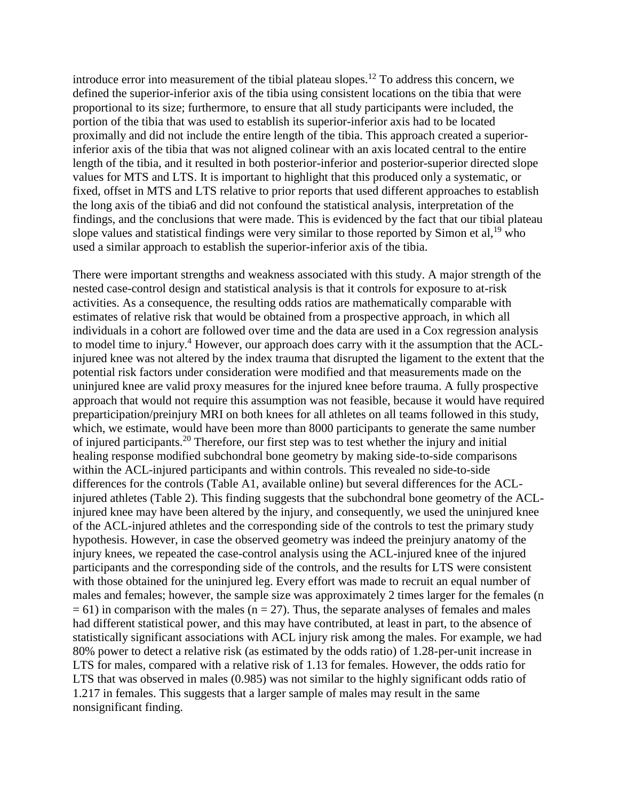introduce error into measurement of the tibial plateau slopes.<sup>12</sup> To address this concern, we defined the superior-inferior axis of the tibia using consistent locations on the tibia that were proportional to its size; furthermore, to ensure that all study participants were included, the portion of the tibia that was used to establish its superior-inferior axis had to be located proximally and did not include the entire length of the tibia. This approach created a superiorinferior axis of the tibia that was not aligned colinear with an axis located central to the entire length of the tibia, and it resulted in both posterior-inferior and posterior-superior directed slope values for MTS and LTS. It is important to highlight that this produced only a systematic, or fixed, offset in MTS and LTS relative to prior reports that used different approaches to establish the long axis of the tibia6 and did not confound the statistical analysis, interpretation of the findings, and the conclusions that were made. This is evidenced by the fact that our tibial plateau slope values and statistical findings were very similar to those reported by Simon et al,  $^{19}$  who used a similar approach to establish the superior-inferior axis of the tibia.

There were important strengths and weakness associated with this study. A major strength of the nested case-control design and statistical analysis is that it controls for exposure to at-risk activities. As a consequence, the resulting odds ratios are mathematically comparable with estimates of relative risk that would be obtained from a prospective approach, in which all individuals in a cohort are followed over time and the data are used in a Cox regression analysis to model time to injury.<sup>4</sup> However, our approach does carry with it the assumption that the ACLinjured knee was not altered by the index trauma that disrupted the ligament to the extent that the potential risk factors under consideration were modified and that measurements made on the uninjured knee are valid proxy measures for the injured knee before trauma. A fully prospective approach that would not require this assumption was not feasible, because it would have required preparticipation/preinjury MRI on both knees for all athletes on all teams followed in this study, which, we estimate, would have been more than 8000 participants to generate the same number of injured participants.<sup>20</sup> Therefore, our first step was to test whether the injury and initial healing response modified subchondral bone geometry by making side-to-side comparisons within the ACL-injured participants and within controls. This revealed no side-to-side differences for the controls (Table A1, available online) but several differences for the ACLinjured athletes (Table 2). This finding suggests that the subchondral bone geometry of the ACLinjured knee may have been altered by the injury, and consequently, we used the uninjured knee of the ACL-injured athletes and the corresponding side of the controls to test the primary study hypothesis. However, in case the observed geometry was indeed the preinjury anatomy of the injury knees, we repeated the case-control analysis using the ACL-injured knee of the injured participants and the corresponding side of the controls, and the results for LTS were consistent with those obtained for the uninjured leg. Every effort was made to recruit an equal number of males and females; however, the sample size was approximately 2 times larger for the females (n  $= 61$ ) in comparison with the males (n = 27). Thus, the separate analyses of females and males had different statistical power, and this may have contributed, at least in part, to the absence of statistically significant associations with ACL injury risk among the males. For example, we had 80% power to detect a relative risk (as estimated by the odds ratio) of 1.28-per-unit increase in LTS for males, compared with a relative risk of 1.13 for females. However, the odds ratio for LTS that was observed in males (0.985) was not similar to the highly significant odds ratio of 1.217 in females. This suggests that a larger sample of males may result in the same nonsignificant finding.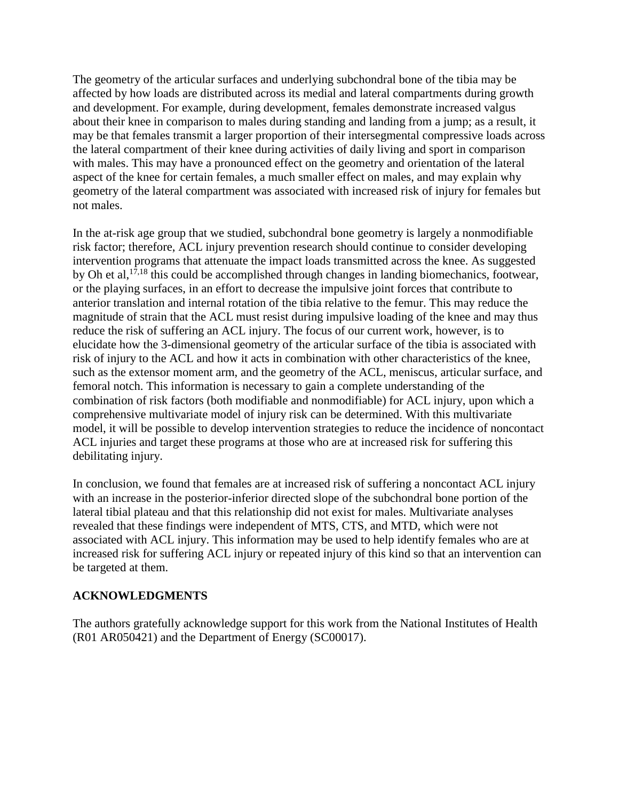The geometry of the articular surfaces and underlying subchondral bone of the tibia may be affected by how loads are distributed across its medial and lateral compartments during growth and development. For example, during development, females demonstrate increased valgus about their knee in comparison to males during standing and landing from a jump; as a result, it may be that females transmit a larger proportion of their intersegmental compressive loads across the lateral compartment of their knee during activities of daily living and sport in comparison with males. This may have a pronounced effect on the geometry and orientation of the lateral aspect of the knee for certain females, a much smaller effect on males, and may explain why geometry of the lateral compartment was associated with increased risk of injury for females but not males.

In the at-risk age group that we studied, subchondral bone geometry is largely a nonmodifiable risk factor; therefore, ACL injury prevention research should continue to consider developing intervention programs that attenuate the impact loads transmitted across the knee. As suggested by Oh et al,  $17,18$  this could be accomplished through changes in landing biomechanics, footwear, or the playing surfaces, in an effort to decrease the impulsive joint forces that contribute to anterior translation and internal rotation of the tibia relative to the femur. This may reduce the magnitude of strain that the ACL must resist during impulsive loading of the knee and may thus reduce the risk of suffering an ACL injury. The focus of our current work, however, is to elucidate how the 3-dimensional geometry of the articular surface of the tibia is associated with risk of injury to the ACL and how it acts in combination with other characteristics of the knee, such as the extensor moment arm, and the geometry of the ACL, meniscus, articular surface, and femoral notch. This information is necessary to gain a complete understanding of the combination of risk factors (both modifiable and nonmodifiable) for ACL injury, upon which a comprehensive multivariate model of injury risk can be determined. With this multivariate model, it will be possible to develop intervention strategies to reduce the incidence of noncontact ACL injuries and target these programs at those who are at increased risk for suffering this debilitating injury.

In conclusion, we found that females are at increased risk of suffering a noncontact ACL injury with an increase in the posterior-inferior directed slope of the subchondral bone portion of the lateral tibial plateau and that this relationship did not exist for males. Multivariate analyses revealed that these findings were independent of MTS, CTS, and MTD, which were not associated with ACL injury. This information may be used to help identify females who are at increased risk for suffering ACL injury or repeated injury of this kind so that an intervention can be targeted at them.

# **ACKNOWLEDGMENTS**

The authors gratefully acknowledge support for this work from the National Institutes of Health (R01 AR050421) and the Department of Energy (SC00017).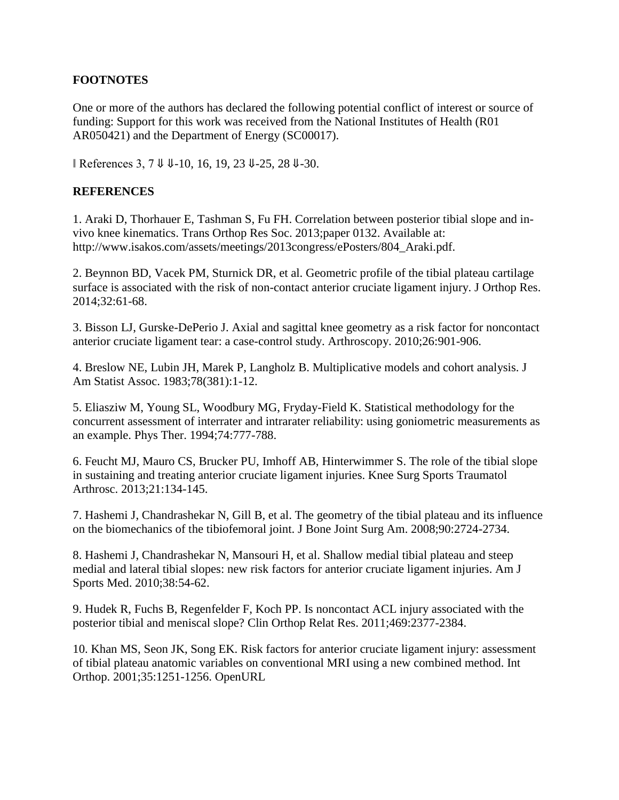# **FOOTNOTES**

One or more of the authors has declared the following potential conflict of interest or source of funding: Support for this work was received from the National Institutes of Health (R01 AR050421) and the Department of Energy (SC00017).

‖ References 3, 7 ⇓ ⇓-10, 16, 19, 23 ⇓-25, 28 ⇓-30.

# **REFERENCES**

1. Araki D, Thorhauer E, Tashman S, Fu FH. Correlation between posterior tibial slope and invivo knee kinematics. Trans Orthop Res Soc. 2013;paper 0132. Available at: http://www.isakos.com/assets/meetings/2013congress/ePosters/804\_Araki.pdf.

2. Beynnon BD, Vacek PM, Sturnick DR, et al. Geometric profile of the tibial plateau cartilage surface is associated with the risk of non-contact anterior cruciate ligament injury. J Orthop Res. 2014;32:61-68.

3. Bisson LJ, Gurske-DePerio J. Axial and sagittal knee geometry as a risk factor for noncontact anterior cruciate ligament tear: a case-control study. Arthroscopy. 2010;26:901-906.

4. Breslow NE, Lubin JH, Marek P, Langholz B. Multiplicative models and cohort analysis. J Am Statist Assoc. 1983;78(381):1-12.

5. Eliasziw M, Young SL, Woodbury MG, Fryday-Field K. Statistical methodology for the concurrent assessment of interrater and intrarater reliability: using goniometric measurements as an example. Phys Ther. 1994;74:777-788.

6. Feucht MJ, Mauro CS, Brucker PU, Imhoff AB, Hinterwimmer S. The role of the tibial slope in sustaining and treating anterior cruciate ligament injuries. Knee Surg Sports Traumatol Arthrosc. 2013;21:134-145.

7. Hashemi J, Chandrashekar N, Gill B, et al. The geometry of the tibial plateau and its influence on the biomechanics of the tibiofemoral joint. J Bone Joint Surg Am. 2008;90:2724-2734.

8. Hashemi J, Chandrashekar N, Mansouri H, et al. Shallow medial tibial plateau and steep medial and lateral tibial slopes: new risk factors for anterior cruciate ligament injuries. Am J Sports Med. 2010;38:54-62.

9. Hudek R, Fuchs B, Regenfelder F, Koch PP. Is noncontact ACL injury associated with the posterior tibial and meniscal slope? Clin Orthop Relat Res. 2011;469:2377-2384.

10. Khan MS, Seon JK, Song EK. Risk factors for anterior cruciate ligament injury: assessment of tibial plateau anatomic variables on conventional MRI using a new combined method. Int Orthop. 2001;35:1251-1256. OpenURL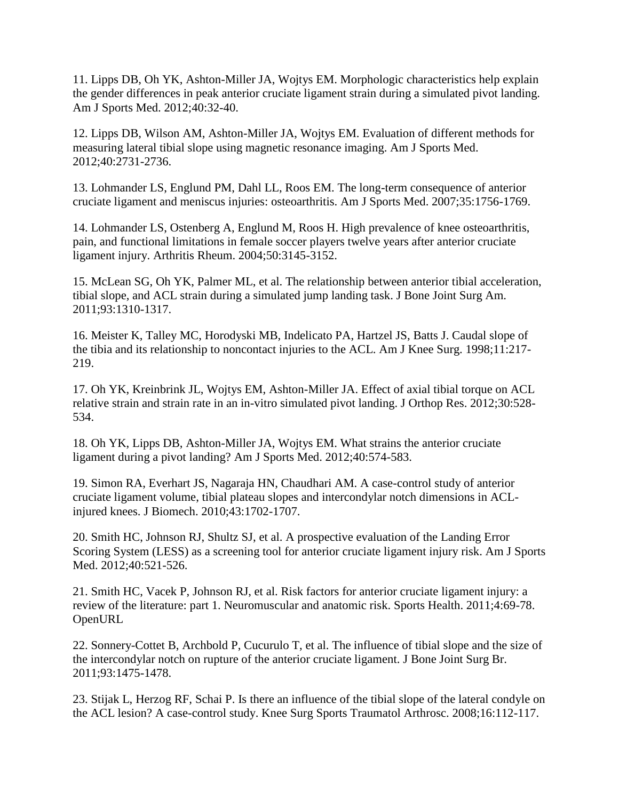11. Lipps DB, Oh YK, Ashton-Miller JA, Wojtys EM. Morphologic characteristics help explain the gender differences in peak anterior cruciate ligament strain during a simulated pivot landing. Am J Sports Med. 2012;40:32-40.

12. Lipps DB, Wilson AM, Ashton-Miller JA, Wojtys EM. Evaluation of different methods for measuring lateral tibial slope using magnetic resonance imaging. Am J Sports Med. 2012;40:2731-2736.

13. Lohmander LS, Englund PM, Dahl LL, Roos EM. The long-term consequence of anterior cruciate ligament and meniscus injuries: osteoarthritis. Am J Sports Med. 2007;35:1756-1769.

14. Lohmander LS, Ostenberg A, Englund M, Roos H. High prevalence of knee osteoarthritis, pain, and functional limitations in female soccer players twelve years after anterior cruciate ligament injury. Arthritis Rheum. 2004;50:3145-3152.

15. McLean SG, Oh YK, Palmer ML, et al. The relationship between anterior tibial acceleration, tibial slope, and ACL strain during a simulated jump landing task. J Bone Joint Surg Am. 2011;93:1310-1317.

16. Meister K, Talley MC, Horodyski MB, Indelicato PA, Hartzel JS, Batts J. Caudal slope of the tibia and its relationship to noncontact injuries to the ACL. Am J Knee Surg. 1998;11:217- 219.

17. Oh YK, Kreinbrink JL, Wojtys EM, Ashton-Miller JA. Effect of axial tibial torque on ACL relative strain and strain rate in an in-vitro simulated pivot landing. J Orthop Res. 2012;30:528- 534.

18. Oh YK, Lipps DB, Ashton-Miller JA, Wojtys EM. What strains the anterior cruciate ligament during a pivot landing? Am J Sports Med. 2012;40:574-583.

19. Simon RA, Everhart JS, Nagaraja HN, Chaudhari AM. A case-control study of anterior cruciate ligament volume, tibial plateau slopes and intercondylar notch dimensions in ACLinjured knees. J Biomech. 2010;43:1702-1707.

20. Smith HC, Johnson RJ, Shultz SJ, et al. A prospective evaluation of the Landing Error Scoring System (LESS) as a screening tool for anterior cruciate ligament injury risk. Am J Sports Med. 2012;40:521-526.

21. Smith HC, Vacek P, Johnson RJ, et al. Risk factors for anterior cruciate ligament injury: a review of the literature: part 1. Neuromuscular and anatomic risk. Sports Health. 2011;4:69-78. OpenURL

22. Sonnery-Cottet B, Archbold P, Cucurulo T, et al. The influence of tibial slope and the size of the intercondylar notch on rupture of the anterior cruciate ligament. J Bone Joint Surg Br. 2011;93:1475-1478.

23. Stijak L, Herzog RF, Schai P. Is there an influence of the tibial slope of the lateral condyle on the ACL lesion? A case-control study. Knee Surg Sports Traumatol Arthrosc. 2008;16:112-117.